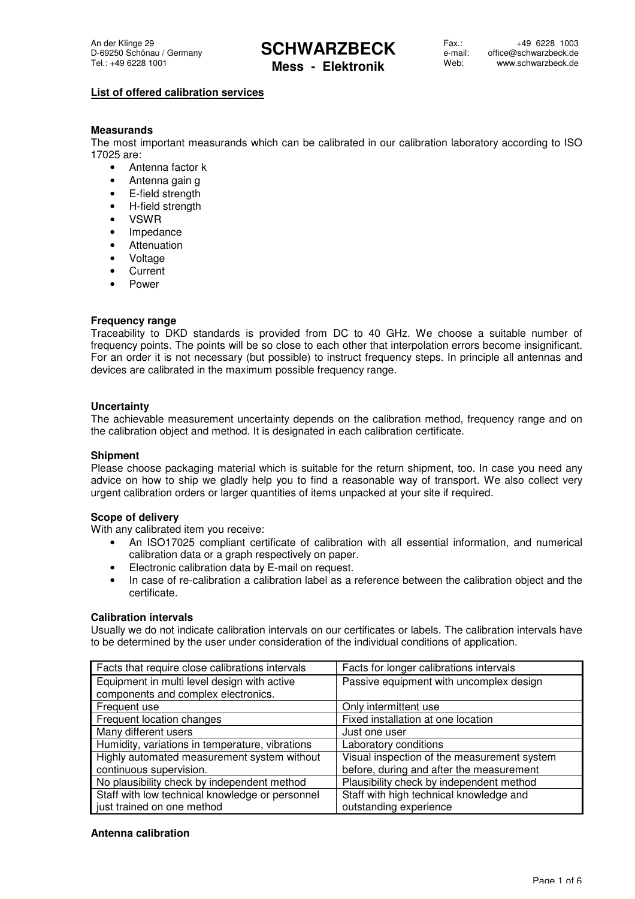**Mess - Elektronik**

#### **List of offered calibration services**

#### **Measurands**

The most important measurands which can be calibrated in our calibration laboratory according to ISO 17025 are:

- Antenna factor k
- Antenna gain g
- E-field strength
- H-field strength
- VSWR
- Impedance
- Attenuation
- Voltage
- Current
- Power

#### **Frequency range**

Traceability to DKD standards is provided from DC to 40 GHz. We choose a suitable number of frequency points. The points will be so close to each other that interpolation errors become insignificant. For an order it is not necessary (but possible) to instruct frequency steps. In principle all antennas and devices are calibrated in the maximum possible frequency range.

#### **Uncertainty**

The achievable measurement uncertainty depends on the calibration method, frequency range and on the calibration object and method. It is designated in each calibration certificate.

#### **Shipment**

Please choose packaging material which is suitable for the return shipment, too. In case you need any advice on how to ship we gladly help you to find a reasonable way of transport. We also collect very urgent calibration orders or larger quantities of items unpacked at your site if required.

#### **Scope of delivery**

With any calibrated item you receive:

- An ISO17025 compliant certificate of calibration with all essential information, and numerical calibration data or a graph respectively on paper.
- Electronic calibration data by E-mail on request.
- In case of re-calibration a calibration label as a reference between the calibration object and the certificate.

#### **Calibration intervals**

Usually we do not indicate calibration intervals on our certificates or labels. The calibration intervals have to be determined by the user under consideration of the individual conditions of application.

| Facts that require close calibrations intervals | Facts for longer calibrations intervals     |
|-------------------------------------------------|---------------------------------------------|
| Equipment in multi level design with active     | Passive equipment with uncomplex design     |
| components and complex electronics.             |                                             |
| Frequent use                                    | Only intermittent use                       |
| Frequent location changes                       | Fixed installation at one location          |
| Many different users                            | Just one user                               |
| Humidity, variations in temperature, vibrations | Laboratory conditions                       |
| Highly automated measurement system without     | Visual inspection of the measurement system |
| continuous supervision.                         | before, during and after the measurement    |
| No plausibility check by independent method     | Plausibility check by independent method    |
| Staff with low technical knowledge or personnel | Staff with high technical knowledge and     |
| just trained on one method                      | outstanding experience                      |

#### **Antenna calibration**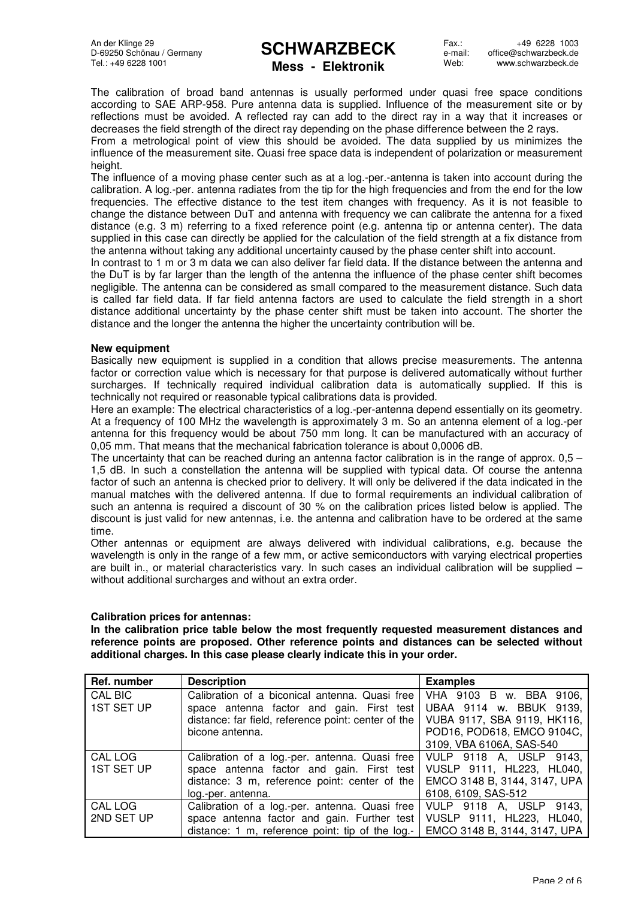### **SCHWARZBECK Mess - Elektronik**

Fax . e-mail: Web: +49 6228 1003 office@schwarzbeck.de www.schwarzbeck.de

The calibration of broad band antennas is usually performed under quasi free space conditions according to SAE ARP-958. Pure antenna data is supplied. Influence of the measurement site or by reflections must be avoided. A reflected ray can add to the direct ray in a way that it increases or decreases the field strength of the direct ray depending on the phase difference between the 2 rays.

From a metrological point of view this should be avoided. The data supplied by us minimizes the influence of the measurement site. Quasi free space data is independent of polarization or measurement height

The influence of a moving phase center such as at a log.-per.-antenna is taken into account during the calibration. A log.-per. antenna radiates from the tip for the high frequencies and from the end for the low frequencies. The effective distance to the test item changes with frequency. As it is not feasible to change the distance between DuT and antenna with frequency we can calibrate the antenna for a fixed distance (e.g. 3 m) referring to a fixed reference point (e.g. antenna tip or antenna center). The data supplied in this case can directly be applied for the calculation of the field strength at a fix distance from the antenna without taking any additional uncertainty caused by the phase center shift into account.

In contrast to 1 m or 3 m data we can also deliver far field data. If the distance between the antenna and the DuT is by far larger than the length of the antenna the influence of the phase center shift becomes negligible. The antenna can be considered as small compared to the measurement distance. Such data is called far field data. If far field antenna factors are used to calculate the field strength in a short distance additional uncertainty by the phase center shift must be taken into account. The shorter the distance and the longer the antenna the higher the uncertainty contribution will be.

#### **New equipment**

Basically new equipment is supplied in a condition that allows precise measurements. The antenna factor or correction value which is necessary for that purpose is delivered automatically without further surcharges. If technically required individual calibration data is automatically supplied. If this is technically not required or reasonable typical calibrations data is provided.

Here an example: The electrical characteristics of a log.-per-antenna depend essentially on its geometry. At a frequency of 100 MHz the wavelength is approximately 3 m. So an antenna element of a log.-per antenna for this frequency would be about 750 mm long. It can be manufactured with an accuracy of 0,05 mm. That means that the mechanical fabrication tolerance is about 0,0006 dB.

The uncertainty that can be reached during an antenna factor calibration is in the range of approx.  $0.5 -$ 1,5 dB. In such a constellation the antenna will be supplied with typical data. Of course the antenna factor of such an antenna is checked prior to delivery. It will only be delivered if the data indicated in the manual matches with the delivered antenna. If due to formal requirements an individual calibration of such an antenna is required a discount of 30 % on the calibration prices listed below is applied. The discount is just valid for new antennas, i.e. the antenna and calibration have to be ordered at the same time.

Other antennas or equipment are always delivered with individual calibrations, e.g. because the wavelength is only in the range of a few mm, or active semiconductors with varying electrical properties are built in., or material characteristics vary. In such cases an individual calibration will be supplied – without additional surcharges and without an extra order.

#### **Calibration prices for antennas:**

**In the calibration price table below the most frequently requested measurement distances and reference points are proposed. Other reference points and distances can be selected without additional charges. In this case please clearly indicate this in your order.** 

| Ref. number       | <b>Description</b>                                  | <b>Examples</b>              |
|-------------------|-----------------------------------------------------|------------------------------|
| <b>CAL BIC</b>    | Calibration of a biconical antenna. Quasi free      | VHA 9103 B w. BBA 9106,      |
| <b>1ST SET UP</b> | space antenna factor and gain. First test           | UBAA 9114 w. BBUK 9139,      |
|                   | distance: far field, reference point: center of the | VUBA 9117, SBA 9119, HK116,  |
|                   | bicone antenna.                                     | POD16, POD618, EMCO 9104C,   |
|                   |                                                     | 3109, VBA 6106A, SAS-540     |
| CAL LOG           | Calibration of a log.-per. antenna. Quasi free      | VULP 9118 A, USLP 9143,      |
| <b>1ST SET UP</b> | space antenna factor and gain. First test           | VUSLP 9111, HL223, HL040,    |
|                   | distance: 3 m, reference point: center of the       | EMCO 3148 B, 3144, 3147, UPA |
|                   | log.-per. antenna.                                  | 6108, 6109, SAS-512          |
| CAL LOG           | Calibration of a log.-per. antenna. Quasi free      | VULP 9118 A, USLP 9143,      |
| 2ND SET UP        | space antenna factor and gain. Further test         | VUSLP 9111, HL223, HL040,    |
|                   | distance: 1 m, reference point: tip of the log.-    | EMCO 3148 B, 3144, 3147, UPA |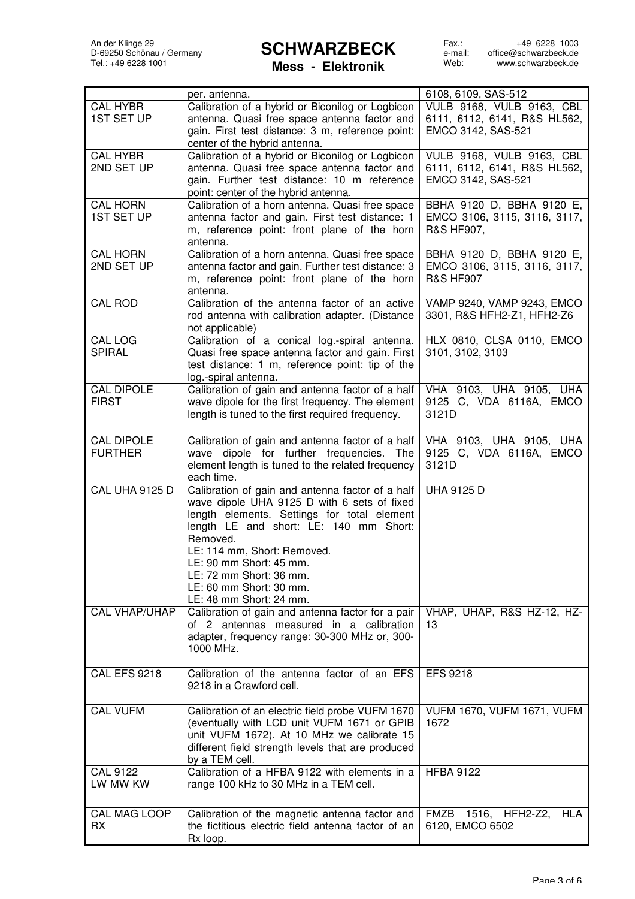Fax.: e-mail: Web: +49 6228 1003 office@schwarzbeck.de www.schwarzbeck.de

**Mess - Elektronik**

|                      | per. antenna.                                                                                | 6108, 6109, SAS-512               |
|----------------------|----------------------------------------------------------------------------------------------|-----------------------------------|
| <b>CAL HYBR</b>      | Calibration of a hybrid or Biconilog or Logbicon                                             | VULB 9168, VULB 9163, CBL         |
| <b>1ST SET UP</b>    | antenna. Quasi free space antenna factor and                                                 | 6111, 6112, 6141, R&S HL562,      |
|                      | gain. First test distance: 3 m, reference point:                                             | EMCO 3142, SAS-521                |
|                      | center of the hybrid antenna.                                                                |                                   |
| <b>CAL HYBR</b>      | Calibration of a hybrid or Biconilog or Logbicon                                             | VULB 9168, VULB 9163, CBL         |
| 2ND SET UP           | antenna. Quasi free space antenna factor and                                                 | 6111, 6112, 6141, R&S HL562,      |
|                      | gain. Further test distance: 10 m reference                                                  | EMCO 3142, SAS-521                |
|                      | point: center of the hybrid antenna.                                                         |                                   |
| <b>CAL HORN</b>      | Calibration of a horn antenna. Quasi free space                                              | BBHA 9120 D, BBHA 9120 E,         |
| <b>1ST SET UP</b>    | antenna factor and gain. First test distance: 1                                              | EMCO 3106, 3115, 3116, 3117,      |
|                      | m, reference point: front plane of the horn                                                  | R&S HF907,                        |
|                      | antenna.                                                                                     |                                   |
| <b>CAL HORN</b>      | Calibration of a horn antenna. Quasi free space                                              | BBHA 9120 D, BBHA 9120 E,         |
| 2ND SET UP           | antenna factor and gain. Further test distance: 3                                            | EMCO 3106, 3115, 3116, 3117,      |
|                      | m, reference point: front plane of the horn                                                  | <b>R&amp;S HF907</b>              |
|                      | antenna.                                                                                     |                                   |
| <b>CAL ROD</b>       | Calibration of the antenna factor of an active                                               | VAMP 9240, VAMP 9243, EMCO        |
|                      | rod antenna with calibration adapter. (Distance                                              | 3301, R&S HFH2-Z1, HFH2-Z6        |
|                      | not applicable)                                                                              |                                   |
| CAL LOG              | Calibration of a conical log.-spiral antenna.                                                | HLX 0810, CLSA 0110, EMCO         |
| <b>SPIRAL</b>        | Quasi free space antenna factor and gain. First                                              | 3101, 3102, 3103                  |
|                      | test distance: 1 m, reference point: tip of the                                              |                                   |
|                      | log.-spiral antenna.                                                                         |                                   |
| <b>CAL DIPOLE</b>    | Calibration of gain and antenna factor of a half                                             | VHA 9103, UHA 9105, UHA           |
| <b>FIRST</b>         | wave dipole for the first frequency. The element                                             | 9125 C, VDA 6116A, EMCO           |
|                      | length is tuned to the first required frequency.                                             | 3121D                             |
|                      |                                                                                              |                                   |
| <b>CAL DIPOLE</b>    | Calibration of gain and antenna factor of a half                                             | VHA 9103, UHA 9105, UHA           |
| <b>FURTHER</b>       | wave dipole for further frequencies. The                                                     | 9125 C, VDA 6116A, EMCO           |
|                      | element length is tuned to the related frequency                                             | 3121D                             |
|                      | each time.                                                                                   |                                   |
| CAL UHA 9125 D       | Calibration of gain and antenna factor of a half                                             | <b>UHA 9125 D</b>                 |
|                      | wave dipole UHA 9125 D with 6 sets of fixed                                                  |                                   |
|                      | length elements. Settings for total element                                                  |                                   |
|                      | length LE and short: LE: 140 mm Short:                                                       |                                   |
|                      | Removed.                                                                                     |                                   |
|                      | LE: 114 mm, Short: Removed.                                                                  |                                   |
|                      | $LE: 90$ mm Short: 45 mm.                                                                    |                                   |
|                      | LE: 72 mm Short: 36 mm.                                                                      |                                   |
|                      | LE: 60 mm Short: 30 mm.                                                                      |                                   |
| <b>CAL VHAP/UHAP</b> | LE: 48 mm Short: 24 mm.                                                                      |                                   |
|                      | Calibration of gain and antenna factor for a pair<br>of 2 antennas measured in a calibration | VHAP, UHAP, R&S HZ-12, HZ-        |
|                      |                                                                                              | 13                                |
|                      | adapter, frequency range: 30-300 MHz or, 300-<br>1000 MHz.                                   |                                   |
|                      |                                                                                              |                                   |
| <b>CAL EFS 9218</b>  | Calibration of the antenna factor of an EFS                                                  | <b>EFS 9218</b>                   |
|                      | 9218 in a Crawford cell.                                                                     |                                   |
|                      |                                                                                              |                                   |
| <b>CAL VUFM</b>      | Calibration of an electric field probe VUFM 1670                                             | <b>VUFM 1670, VUFM 1671, VUFM</b> |
|                      | (eventually with LCD unit VUFM 1671 or GPIB                                                  | 1672                              |
|                      | unit VUFM 1672). At 10 MHz we calibrate 15                                                   |                                   |
|                      | different field strength levels that are produced                                            |                                   |
|                      | by a TEM cell.                                                                               |                                   |
| <b>CAL 9122</b>      | Calibration of a HFBA 9122 with elements in a                                                | <b>HFBA 9122</b>                  |
| LW MW KW             | range 100 kHz to 30 MHz in a TEM cell.                                                       |                                   |
|                      |                                                                                              |                                   |
| CAL MAG LOOP         | Calibration of the magnetic antenna factor and                                               | FMZB 1516, HFH2-Z2, HLA           |
| <b>RX</b>            | the fictitious electric field antenna factor of an                                           | 6120, EMCO 6502                   |
|                      | Rx loop.                                                                                     |                                   |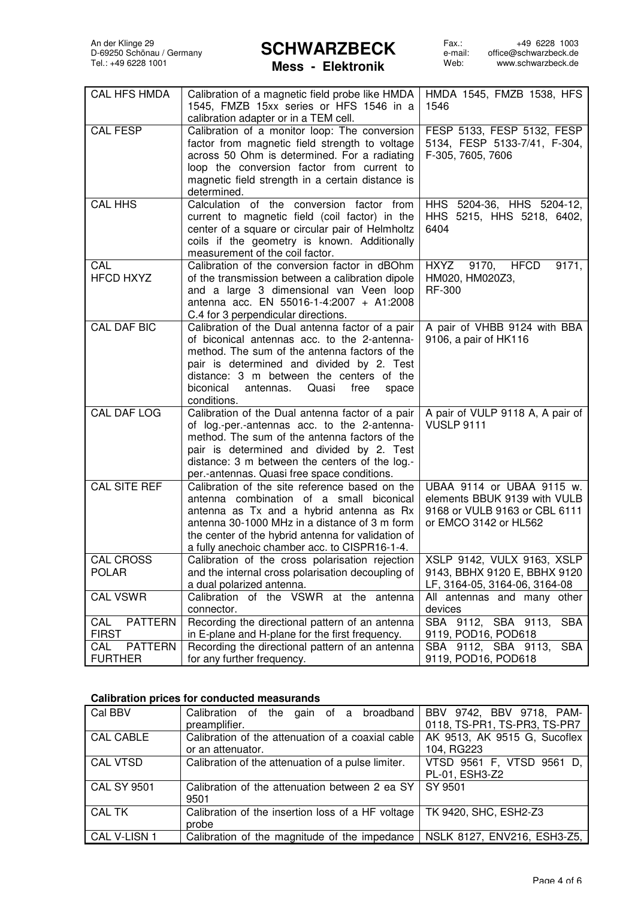Fax.: e-mail: Web: +49 6228 1003 office@schwarzbeck.de www.schwarzbeck.de

### **Mess - Elektronik**

| <b>CAL HFS HMDA</b>   | Calibration of a magnetic field probe like HMDA                                                     | HMDA 1545, FMZB 1538, HFS                         |
|-----------------------|-----------------------------------------------------------------------------------------------------|---------------------------------------------------|
|                       | 1545, FMZB 15xx series or HFS 1546 in a                                                             | 1546                                              |
|                       | calibration adapter or in a TEM cell.                                                               |                                                   |
| <b>CAL FESP</b>       | Calibration of a monitor loop: The conversion                                                       | FESP 5133, FESP 5132, FESP                        |
|                       | factor from magnetic field strength to voltage<br>across 50 Ohm is determined. For a radiating      | 5134, FESP 5133-7/41, F-304,<br>F-305, 7605, 7606 |
|                       | loop the conversion factor from current to                                                          |                                                   |
|                       | magnetic field strength in a certain distance is                                                    |                                                   |
|                       | determined.                                                                                         |                                                   |
| <b>CAL HHS</b>        | Calculation of the conversion factor from                                                           | HHS 5204-36, HHS 5204-12,                         |
|                       | current to magnetic field (coil factor) in the                                                      | HHS 5215, HHS 5218, 6402,                         |
|                       | center of a square or circular pair of Helmholtz                                                    | 6404                                              |
|                       | coils if the geometry is known. Additionally                                                        |                                                   |
|                       | measurement of the coil factor.                                                                     |                                                   |
| CAL                   | Calibration of the conversion factor in dBOhm                                                       | HXYZ 9170, HFCD<br>9171,                          |
| <b>HFCD HXYZ</b>      | of the transmission between a calibration dipole                                                    | HM020, HM020Z3,                                   |
|                       | and a large 3 dimensional van Veen loop                                                             | <b>RF-300</b>                                     |
|                       | antenna acc. EN 55016-1-4:2007 + A1:2008                                                            |                                                   |
|                       | C.4 for 3 perpendicular directions.                                                                 |                                                   |
| <b>CAL DAF BIC</b>    | Calibration of the Dual antenna factor of a pair                                                    | A pair of VHBB 9124 with BBA                      |
|                       | of biconical antennas acc. to the 2-antenna-                                                        | 9106, a pair of HK116                             |
|                       | method. The sum of the antenna factors of the                                                       |                                                   |
|                       | pair is determined and divided by 2. Test<br>distance: 3 m between the centers of the               |                                                   |
|                       | biconical<br>antennas.<br>Quasi<br>free<br>space                                                    |                                                   |
|                       | conditions.                                                                                         |                                                   |
| <b>CAL DAF LOG</b>    | Calibration of the Dual antenna factor of a pair                                                    | A pair of VULP 9118 A, A pair of                  |
|                       | of log.-per.-antennas acc. to the 2-antenna-                                                        | <b>VUSLP 9111</b>                                 |
|                       | method. The sum of the antenna factors of the                                                       |                                                   |
|                       | pair is determined and divided by 2. Test                                                           |                                                   |
|                       | distance: 3 m between the centers of the log.-                                                      |                                                   |
|                       | per.-antennas. Quasi free space conditions.                                                         |                                                   |
| <b>CAL SITE REF</b>   | Calibration of the site reference based on the                                                      | UBAA 9114 or UBAA 9115 w.                         |
|                       | antenna combination of a small biconical                                                            | elements BBUK 9139 with VULB                      |
|                       | antenna as Tx and a hybrid antenna as Rx                                                            | 9168 or VULB 9163 or CBL 6111                     |
|                       | antenna 30-1000 MHz in a distance of 3 m form                                                       | or EMCO 3142 or HL562                             |
|                       | the center of the hybrid antenna for validation of<br>a fully anechoic chamber acc. to CISPR16-1-4. |                                                   |
| <b>CAL CROSS</b>      | Calibration of the cross polarisation rejection                                                     | XSLP 9142, VULX 9163, XSLP                        |
| <b>POLAR</b>          | and the internal cross polarisation decoupling of                                                   | 9143, BBHX 9120 E, BBHX 9120                      |
|                       | a dual polarized antenna.                                                                           | LF, 3164-05, 3164-06, 3164-08                     |
| CAL VSWR              | Calibration of the VSWR<br>at the antenna                                                           | All antennas and many other                       |
|                       | connector.                                                                                          | devices                                           |
| <b>PATTERN</b><br>CAL | Recording the directional pattern of an antenna                                                     | SBA 9112,<br>SBA 9113,<br><b>SBA</b>              |
| <b>FIRST</b>          | in E-plane and H-plane for the first frequency.                                                     | 9119, POD16, POD618                               |
| <b>PATTERN</b><br>CAL | Recording the directional pattern of an antenna                                                     | SBA 9112, SBA 9113,<br><b>SBA</b>                 |
| <b>FURTHER</b>        | for any further frequency.                                                                          | 9119, POD16, POD618                               |

### **Calibration prices for conducted measurands**

| Cal BBV            | Calibration of the gain of a broadband<br>preamplifier. | BBV 9742, BBV 9718, PAM-<br>0118, TS-PR1, TS-PR3, TS-PR7 |
|--------------------|---------------------------------------------------------|----------------------------------------------------------|
| <b>CAL CABLE</b>   | Calibration of the attenuation of a coaxial cable       | AK 9513, AK 9515 G, Sucoflex                             |
|                    | or an attenuator.                                       | 104, RG223                                               |
| <b>CAL VTSD</b>    | Calibration of the attenuation of a pulse limiter.      | VTSD 9561 F, VTSD 9561 D,                                |
|                    |                                                         | PL-01, ESH3-Z2                                           |
| <b>CAL SY 9501</b> | Calibration of the attenuation between 2 ea SY          | SY 9501                                                  |
|                    | 9501                                                    |                                                          |
| CAL TK             | Calibration of the insertion loss of a HF voltage       | TK 9420, SHC, ESH2-Z3                                    |
|                    | probe                                                   |                                                          |
| CAL V-LISN 1       | Calibration of the magnitude of the impedance           | NSLK 8127, ENV216, ESH3-Z5,                              |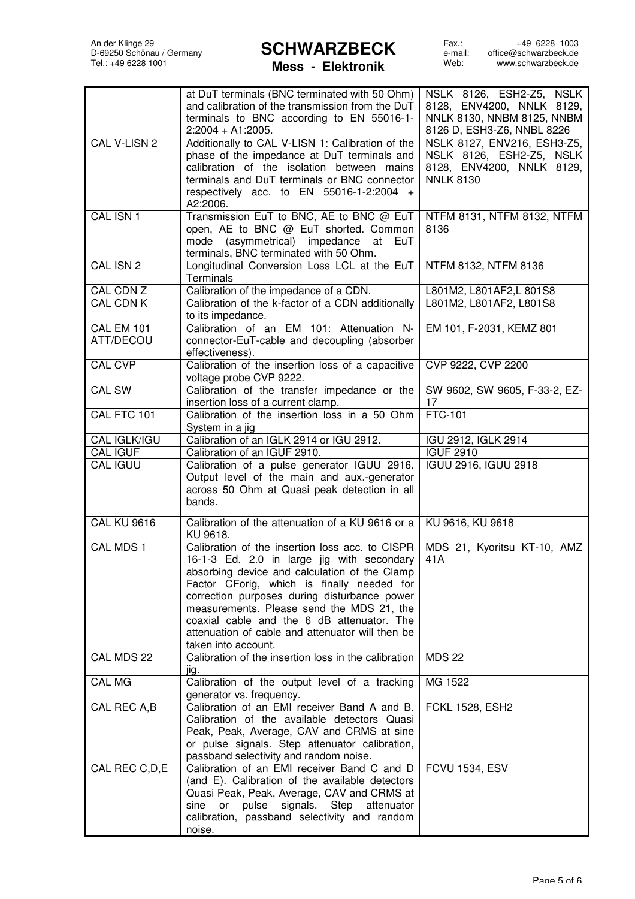### **Mess - Elektronik**

|                                | at DuT terminals (BNC terminated with 50 Ohm)<br>and calibration of the transmission from the DuT<br>terminals to BNC according to EN 55016-1-<br>$2:2004 + A1:2005.$                                                                                                                                                                                                                                              | NSLK 8126, ESH2-Z5, NSLK<br>8128, ENV4200, NNLK 8129,<br>NNLK 8130, NNBM 8125, NNBM<br>8126 D, ESH3-Z6, NNBL 8226 |
|--------------------------------|--------------------------------------------------------------------------------------------------------------------------------------------------------------------------------------------------------------------------------------------------------------------------------------------------------------------------------------------------------------------------------------------------------------------|-------------------------------------------------------------------------------------------------------------------|
| CAL V-LISN 2                   | Additionally to CAL V-LISN 1: Calibration of the<br>phase of the impedance at DuT terminals and<br>calibration of the isolation between mains<br>terminals and DuT terminals or BNC connector<br>respectively acc. to EN $55016-1-2:2004$ +<br>A2:2006.                                                                                                                                                            | NSLK 8127, ENV216, ESH3-Z5,<br>NSLK 8126, ESH2-Z5, NSLK<br>8128, ENV4200, NNLK 8129,<br><b>NNLK 8130</b>          |
| CAL ISN 1                      | Transmission EuT to BNC, AE to BNC @ EuT<br>open, AE to BNC @ EuT shorted. Common<br>mode (asymmetrical) impedance at<br>EuT<br>terminals, BNC terminated with 50 Ohm.                                                                                                                                                                                                                                             | NTFM 8131, NTFM 8132, NTFM<br>8136                                                                                |
| CAL ISN 2                      | Longitudinal Conversion Loss LCL at the EuT<br>Terminals                                                                                                                                                                                                                                                                                                                                                           | NTFM 8132, NTFM 8136                                                                                              |
| CAL CDN Z                      | Calibration of the impedance of a CDN.                                                                                                                                                                                                                                                                                                                                                                             | L801M2, L801AF2,L 801S8                                                                                           |
| <b>CAL CDN K</b>               | Calibration of the k-factor of a CDN additionally<br>to its impedance.                                                                                                                                                                                                                                                                                                                                             | L801M2, L801AF2, L801S8                                                                                           |
| <b>CAL EM 101</b><br>ATT/DECOU | Calibration of an EM 101: Attenuation N-<br>connector-EuT-cable and decoupling (absorber<br>effectiveness).                                                                                                                                                                                                                                                                                                        | EM 101, F-2031, KEMZ 801                                                                                          |
| <b>CAL CVP</b>                 | Calibration of the insertion loss of a capacitive<br>voltage probe CVP 9222.                                                                                                                                                                                                                                                                                                                                       | CVP 9222, CVP 2200                                                                                                |
| <b>CAL SW</b>                  | Calibration of the transfer impedance or the<br>insertion loss of a current clamp.                                                                                                                                                                                                                                                                                                                                 | SW 9602, SW 9605, F-33-2, EZ-<br>17                                                                               |
| CAL FTC 101                    | Calibration of the insertion loss in a 50 Ohm<br>System in a jig                                                                                                                                                                                                                                                                                                                                                   | <b>FTC-101</b>                                                                                                    |
| CAL IGLK/IGU                   | Calibration of an IGLK 2914 or IGU 2912.                                                                                                                                                                                                                                                                                                                                                                           | IGU 2912, IGLK 2914                                                                                               |
| <b>CAL IGUF</b>                | Calibration of an IGUF 2910.                                                                                                                                                                                                                                                                                                                                                                                       | <b>IGUF 2910</b>                                                                                                  |
| <b>CAL IGUU</b>                | Calibration of a pulse generator IGUU 2916.<br>Output level of the main and aux.-generator<br>across 50 Ohm at Quasi peak detection in all<br>bands.                                                                                                                                                                                                                                                               | IGUU 2916, IGUU 2918                                                                                              |
| <b>CAL KU 9616</b>             | Calibration of the attenuation of a KU 9616 or a<br>KU 9618.                                                                                                                                                                                                                                                                                                                                                       | KU 9616, KU 9618                                                                                                  |
| CAL MDS 1                      | Calibration of the insertion loss acc. to CISPR<br>16-1-3 Ed. 2.0 in large jig with secondary<br>absorbing device and calculation of the Clamp<br>Factor CForig, which is finally needed for<br>correction purposes during disturbance power<br>measurements. Please send the MDS 21, the<br>coaxial cable and the 6 dB attenuator. The<br>attenuation of cable and attenuator will then be<br>taken into account. | MDS 21, Kyoritsu KT-10, AMZ<br>41A                                                                                |
| CAL MDS 22                     | Calibration of the insertion loss in the calibration<br>jig.                                                                                                                                                                                                                                                                                                                                                       | <b>MDS 22</b>                                                                                                     |
| <b>CAL MG</b>                  | Calibration of the output level of a tracking<br>generator vs. frequency.                                                                                                                                                                                                                                                                                                                                          | MG 1522                                                                                                           |
| CAL REC A,B                    | Calibration of an EMI receiver Band A and B.<br>Calibration of the available detectors Quasi<br>Peak, Peak, Average, CAV and CRMS at sine<br>or pulse signals. Step attenuator calibration,<br>passband selectivity and random noise.                                                                                                                                                                              | <b>FCKL 1528, ESH2</b>                                                                                            |
| CAL REC C, D, E                | Calibration of an EMI receiver Band C and D<br>(and E). Calibration of the available detectors<br>Quasi Peak, Peak, Average, CAV and CRMS at<br>pulse signals. Step<br>sine<br>attenuator<br>or and the control.<br>calibration, passband selectivity and random<br>noise.                                                                                                                                         | <b>FCVU 1534, ESV</b>                                                                                             |